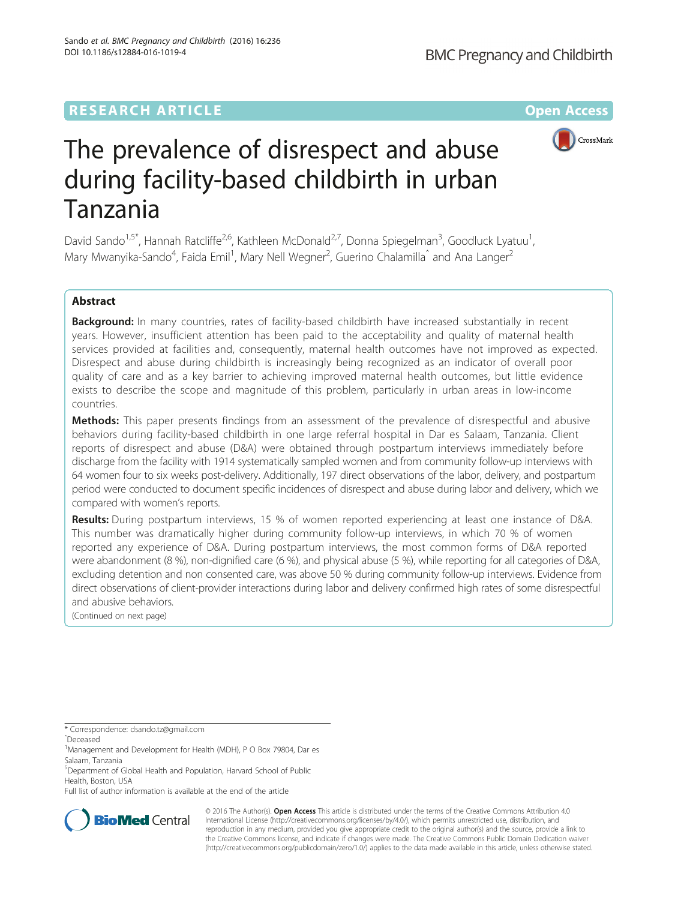## Sando et al. BMC Pregnancy and Childbirth (2016) 16:236 DOI 10.1186/s12884-016-1019-4

## **RESEARCH ARTICLE Example 2014 12:30 The Contract of Contract Article 2014**



# The prevalence of disrespect and abuse during facility-based childbirth in urban Tanzania

David Sando<sup>1,5\*</sup>, Hannah Ratcliffe<sup>2,6</sup>, Kathleen McDonald<sup>2,7</sup>, Donna Spiegelman<sup>3</sup>, Goodluck Lyatuu<sup>1</sup> , Mary Mwanyika-Sando<sup>4</sup>, Faida Emil<sup>1</sup>, Mary Nell Wegner<sup>2</sup>, Guerino Chalamilla^ and Ana Langer<sup>2</sup>

## Abstract

Background: In many countries, rates of facility-based childbirth have increased substantially in recent years. However, insufficient attention has been paid to the acceptability and quality of maternal health services provided at facilities and, consequently, maternal health outcomes have not improved as expected. Disrespect and abuse during childbirth is increasingly being recognized as an indicator of overall poor quality of care and as a key barrier to achieving improved maternal health outcomes, but little evidence exists to describe the scope and magnitude of this problem, particularly in urban areas in low-income countries.

Methods: This paper presents findings from an assessment of the prevalence of disrespectful and abusive behaviors during facility-based childbirth in one large referral hospital in Dar es Salaam, Tanzania. Client reports of disrespect and abuse (D&A) were obtained through postpartum interviews immediately before discharge from the facility with 1914 systematically sampled women and from community follow-up interviews with 64 women four to six weeks post-delivery. Additionally, 197 direct observations of the labor, delivery, and postpartum period were conducted to document specific incidences of disrespect and abuse during labor and delivery, which we compared with women's reports.

Results: During postpartum interviews, 15 % of women reported experiencing at least one instance of D&A. This number was dramatically higher during community follow-up interviews, in which 70 % of women reported any experience of D&A. During postpartum interviews, the most common forms of D&A reported were abandonment (8 %), non-dignified care (6 %), and physical abuse (5 %), while reporting for all categories of D&A, excluding detention and non consented care, was above 50 % during community follow-up interviews. Evidence from direct observations of client-provider interactions during labor and delivery confirmed high rates of some disrespectful and abusive behaviors.

(Continued on next page)

Full list of author information is available at the end of the article



© 2016 The Author(s). Open Access This article is distributed under the terms of the Creative Commons Attribution 4.0 International License [\(http://creativecommons.org/licenses/by/4.0/](http://creativecommons.org/licenses/by/4.0/)), which permits unrestricted use, distribution, and reproduction in any medium, provided you give appropriate credit to the original author(s) and the source, provide a link to the Creative Commons license, and indicate if changes were made. The Creative Commons Public Domain Dedication waiver [\(http://creativecommons.org/publicdomain/zero/1.0/](http://creativecommons.org/publicdomain/zero/1.0/)) applies to the data made available in this article, unless otherwise stated.

<sup>\*</sup> Correspondence: [dsando.tz@gmail.com](mailto:dsando.tz@gmail.com) <sup>ˆ</sup>Deceased

<sup>&</sup>lt;sup>1</sup>Management and Development for Health (MDH), P O Box 79804, Dar es Salaam, Tanzania

<sup>5</sup> Department of Global Health and Population, Harvard School of Public Health, Boston, USA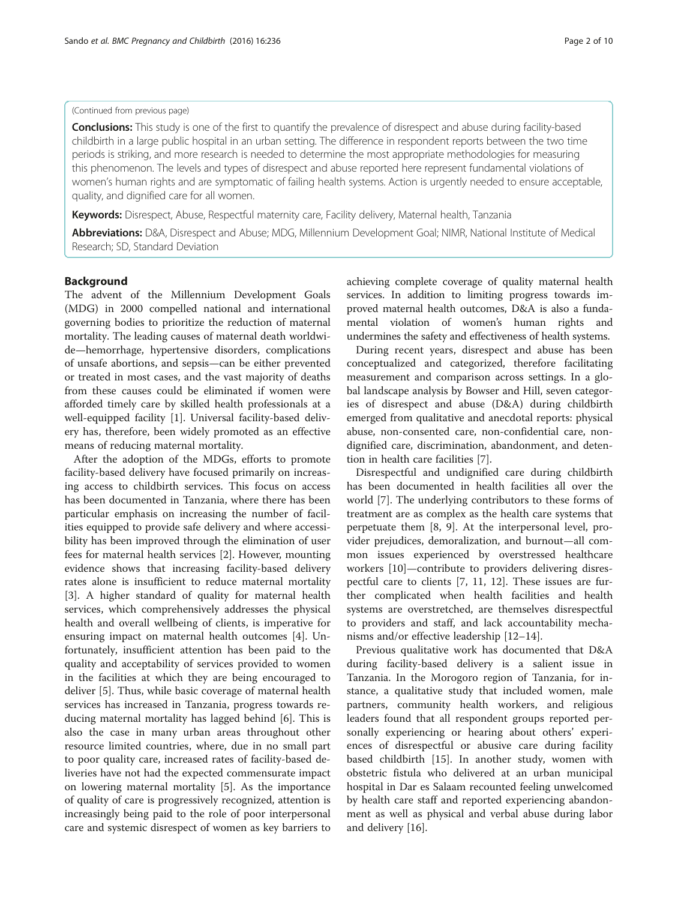#### (Continued from previous page)

**Conclusions:** This study is one of the first to quantify the prevalence of disrespect and abuse during facility-based childbirth in a large public hospital in an urban setting. The difference in respondent reports between the two time periods is striking, and more research is needed to determine the most appropriate methodologies for measuring this phenomenon. The levels and types of disrespect and abuse reported here represent fundamental violations of women's human rights and are symptomatic of failing health systems. Action is urgently needed to ensure acceptable, quality, and dignified care for all women.

Keywords: Disrespect, Abuse, Respectful maternity care, Facility delivery, Maternal health, Tanzania

Abbreviations: D&A, Disrespect and Abuse; MDG, Millennium Development Goal; NIMR, National Institute of Medical Research; SD, Standard Deviation

#### Background

The advent of the Millennium Development Goals (MDG) in 2000 compelled national and international governing bodies to prioritize the reduction of maternal mortality. The leading causes of maternal death worldwide—hemorrhage, hypertensive disorders, complications of unsafe abortions, and sepsis—can be either prevented or treated in most cases, and the vast majority of deaths from these causes could be eliminated if women were afforded timely care by skilled health professionals at a well-equipped facility [[1\]](#page-9-0). Universal facility-based delivery has, therefore, been widely promoted as an effective means of reducing maternal mortality.

After the adoption of the MDGs, efforts to promote facility-based delivery have focused primarily on increasing access to childbirth services. This focus on access has been documented in Tanzania, where there has been particular emphasis on increasing the number of facilities equipped to provide safe delivery and where accessibility has been improved through the elimination of user fees for maternal health services [\[2\]](#page-9-0). However, mounting evidence shows that increasing facility-based delivery rates alone is insufficient to reduce maternal mortality [[3\]](#page-9-0). A higher standard of quality for maternal health services, which comprehensively addresses the physical health and overall wellbeing of clients, is imperative for ensuring impact on maternal health outcomes [[4\]](#page-9-0). Unfortunately, insufficient attention has been paid to the quality and acceptability of services provided to women in the facilities at which they are being encouraged to deliver [\[5\]](#page-9-0). Thus, while basic coverage of maternal health services has increased in Tanzania, progress towards reducing maternal mortality has lagged behind [\[6\]](#page-9-0). This is also the case in many urban areas throughout other resource limited countries, where, due in no small part to poor quality care, increased rates of facility-based deliveries have not had the expected commensurate impact on lowering maternal mortality [[5\]](#page-9-0). As the importance of quality of care is progressively recognized, attention is increasingly being paid to the role of poor interpersonal care and systemic disrespect of women as key barriers to

achieving complete coverage of quality maternal health services. In addition to limiting progress towards improved maternal health outcomes, D&A is also a fundamental violation of women's human rights and undermines the safety and effectiveness of health systems.

During recent years, disrespect and abuse has been conceptualized and categorized, therefore facilitating measurement and comparison across settings. In a global landscape analysis by Bowser and Hill, seven categories of disrespect and abuse (D&A) during childbirth emerged from qualitative and anecdotal reports: physical abuse, non-consented care, non-confidential care, nondignified care, discrimination, abandonment, and detention in health care facilities [\[7\]](#page-9-0).

Disrespectful and undignified care during childbirth has been documented in health facilities all over the world [[7](#page-9-0)]. The underlying contributors to these forms of treatment are as complex as the health care systems that perpetuate them [[8, 9\]](#page-9-0). At the interpersonal level, provider prejudices, demoralization, and burnout—all common issues experienced by overstressed healthcare workers [\[10](#page-9-0)]—contribute to providers delivering disrespectful care to clients [[7, 11, 12](#page-9-0)]. These issues are further complicated when health facilities and health systems are overstretched, are themselves disrespectful to providers and staff, and lack accountability mechanisms and/or effective leadership [[12](#page-9-0)–[14\]](#page-9-0).

Previous qualitative work has documented that D&A during facility-based delivery is a salient issue in Tanzania. In the Morogoro region of Tanzania, for instance, a qualitative study that included women, male partners, community health workers, and religious leaders found that all respondent groups reported personally experiencing or hearing about others' experiences of disrespectful or abusive care during facility based childbirth [\[15](#page-9-0)]. In another study, women with obstetric fistula who delivered at an urban municipal hospital in Dar es Salaam recounted feeling unwelcomed by health care staff and reported experiencing abandonment as well as physical and verbal abuse during labor and delivery [[16](#page-9-0)].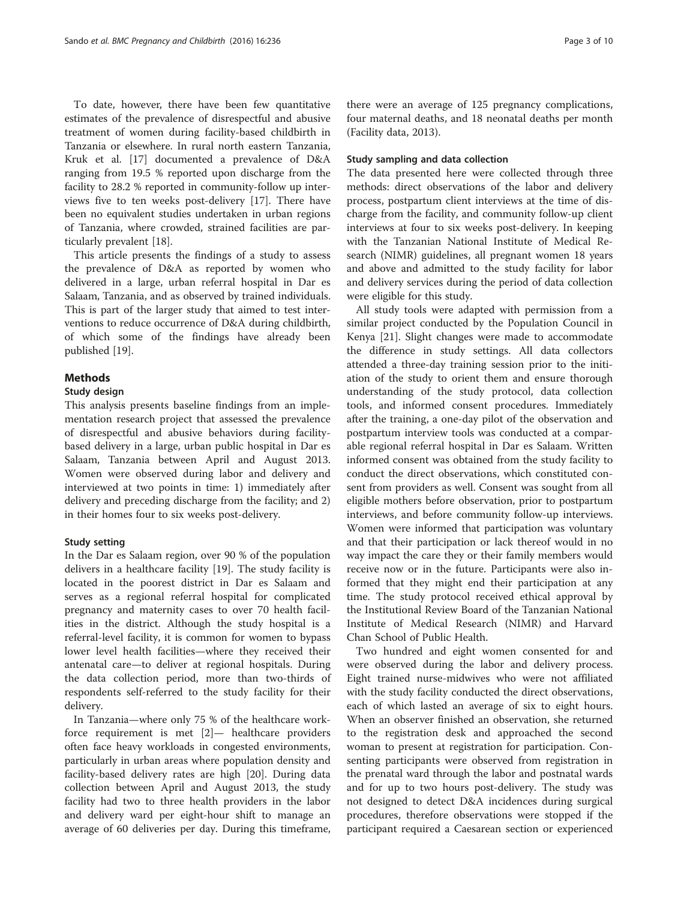To date, however, there have been few quantitative estimates of the prevalence of disrespectful and abusive treatment of women during facility-based childbirth in Tanzania or elsewhere. In rural north eastern Tanzania, Kruk et al. [[17\]](#page-9-0) documented a prevalence of D&A ranging from 19.5 % reported upon discharge from the facility to 28.2 % reported in community-follow up interviews five to ten weeks post-delivery [\[17\]](#page-9-0). There have been no equivalent studies undertaken in urban regions of Tanzania, where crowded, strained facilities are particularly prevalent [[18](#page-9-0)].

This article presents the findings of a study to assess the prevalence of D&A as reported by women who delivered in a large, urban referral hospital in Dar es Salaam, Tanzania, and as observed by trained individuals. This is part of the larger study that aimed to test interventions to reduce occurrence of D&A during childbirth, of which some of the findings have already been published [\[19](#page-9-0)].

## Methods

## Study design

This analysis presents baseline findings from an implementation research project that assessed the prevalence of disrespectful and abusive behaviors during facilitybased delivery in a large, urban public hospital in Dar es Salaam, Tanzania between April and August 2013. Women were observed during labor and delivery and interviewed at two points in time: 1) immediately after delivery and preceding discharge from the facility; and 2) in their homes four to six weeks post-delivery.

### Study setting

In the Dar es Salaam region, over 90 % of the population delivers in a healthcare facility [[19\]](#page-9-0). The study facility is located in the poorest district in Dar es Salaam and serves as a regional referral hospital for complicated pregnancy and maternity cases to over 70 health facilities in the district. Although the study hospital is a referral-level facility, it is common for women to bypass lower level health facilities—where they received their antenatal care—to deliver at regional hospitals. During the data collection period, more than two-thirds of respondents self-referred to the study facility for their delivery.

In Tanzania—where only 75 % of the healthcare workforce requirement is met [[2\]](#page-9-0)— healthcare providers often face heavy workloads in congested environments, particularly in urban areas where population density and facility-based delivery rates are high [[20](#page-9-0)]. During data collection between April and August 2013, the study facility had two to three health providers in the labor and delivery ward per eight-hour shift to manage an average of 60 deliveries per day. During this timeframe, there were an average of 125 pregnancy complications, four maternal deaths, and 18 neonatal deaths per month (Facility data, 2013).

## Study sampling and data collection

The data presented here were collected through three methods: direct observations of the labor and delivery process, postpartum client interviews at the time of discharge from the facility, and community follow-up client interviews at four to six weeks post-delivery. In keeping with the Tanzanian National Institute of Medical Research (NIMR) guidelines, all pregnant women 18 years and above and admitted to the study facility for labor and delivery services during the period of data collection were eligible for this study.

All study tools were adapted with permission from a similar project conducted by the Population Council in Kenya [\[21\]](#page-9-0). Slight changes were made to accommodate the difference in study settings. All data collectors attended a three-day training session prior to the initiation of the study to orient them and ensure thorough understanding of the study protocol, data collection tools, and informed consent procedures. Immediately after the training, a one-day pilot of the observation and postpartum interview tools was conducted at a comparable regional referral hospital in Dar es Salaam. Written informed consent was obtained from the study facility to conduct the direct observations, which constituted consent from providers as well. Consent was sought from all eligible mothers before observation, prior to postpartum interviews, and before community follow-up interviews. Women were informed that participation was voluntary and that their participation or lack thereof would in no way impact the care they or their family members would receive now or in the future. Participants were also informed that they might end their participation at any time. The study protocol received ethical approval by the Institutional Review Board of the Tanzanian National Institute of Medical Research (NIMR) and Harvard Chan School of Public Health.

Two hundred and eight women consented for and were observed during the labor and delivery process. Eight trained nurse-midwives who were not affiliated with the study facility conducted the direct observations, each of which lasted an average of six to eight hours. When an observer finished an observation, she returned to the registration desk and approached the second woman to present at registration for participation. Consenting participants were observed from registration in the prenatal ward through the labor and postnatal wards and for up to two hours post-delivery. The study was not designed to detect D&A incidences during surgical procedures, therefore observations were stopped if the participant required a Caesarean section or experienced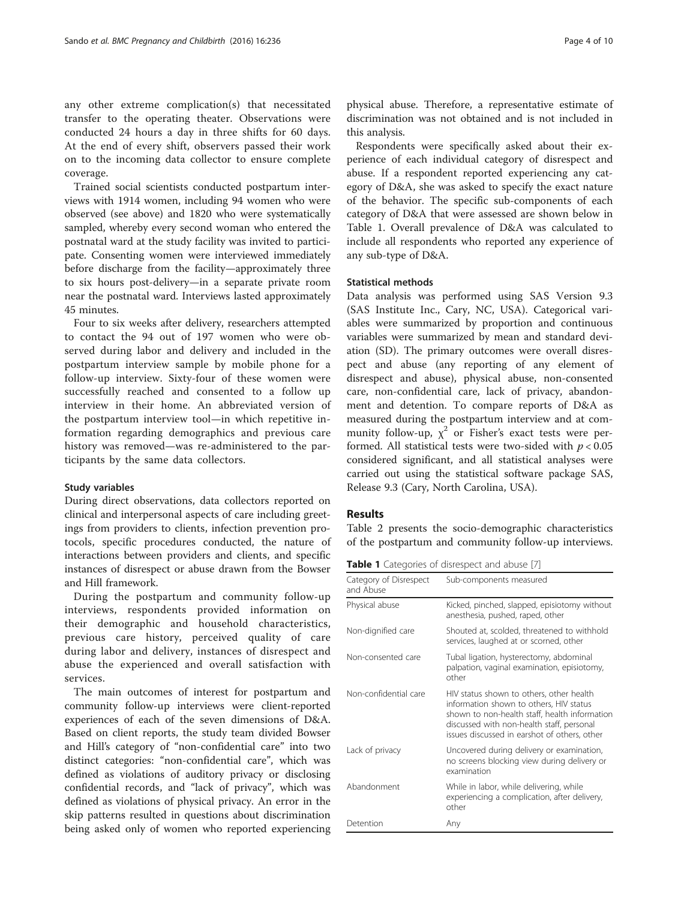any other extreme complication(s) that necessitated transfer to the operating theater. Observations were conducted 24 hours a day in three shifts for 60 days. At the end of every shift, observers passed their work on to the incoming data collector to ensure complete coverage.

Trained social scientists conducted postpartum interviews with 1914 women, including 94 women who were observed (see above) and 1820 who were systematically sampled, whereby every second woman who entered the postnatal ward at the study facility was invited to participate. Consenting women were interviewed immediately before discharge from the facility—approximately three to six hours post-delivery—in a separate private room near the postnatal ward. Interviews lasted approximately 45 minutes.

Four to six weeks after delivery, researchers attempted to contact the 94 out of 197 women who were observed during labor and delivery and included in the postpartum interview sample by mobile phone for a follow-up interview. Sixty-four of these women were successfully reached and consented to a follow up interview in their home. An abbreviated version of the postpartum interview tool—in which repetitive information regarding demographics and previous care history was removed—was re-administered to the participants by the same data collectors.

#### Study variables

During direct observations, data collectors reported on clinical and interpersonal aspects of care including greetings from providers to clients, infection prevention protocols, specific procedures conducted, the nature of interactions between providers and clients, and specific instances of disrespect or abuse drawn from the Bowser and Hill framework.

During the postpartum and community follow-up interviews, respondents provided information on their demographic and household characteristics, previous care history, perceived quality of care during labor and delivery, instances of disrespect and abuse the experienced and overall satisfaction with services.

The main outcomes of interest for postpartum and community follow-up interviews were client-reported experiences of each of the seven dimensions of D&A. Based on client reports, the study team divided Bowser and Hill's category of "non-confidential care" into two distinct categories: "non-confidential care", which was defined as violations of auditory privacy or disclosing confidential records, and "lack of privacy", which was defined as violations of physical privacy. An error in the skip patterns resulted in questions about discrimination being asked only of women who reported experiencing

physical abuse. Therefore, a representative estimate of discrimination was not obtained and is not included in this analysis.

Respondents were specifically asked about their experience of each individual category of disrespect and abuse. If a respondent reported experiencing any category of D&A, she was asked to specify the exact nature of the behavior. The specific sub-components of each category of D&A that were assessed are shown below in Table 1. Overall prevalence of D&A was calculated to include all respondents who reported any experience of any sub-type of D&A.

#### Statistical methods

Data analysis was performed using SAS Version 9.3 (SAS Institute Inc., Cary, NC, USA). Categorical variables were summarized by proportion and continuous variables were summarized by mean and standard deviation (SD). The primary outcomes were overall disrespect and abuse (any reporting of any element of disrespect and abuse), physical abuse, non-consented care, non-confidential care, lack of privacy, abandonment and detention. To compare reports of D&A as measured during the postpartum interview and at community follow-up,  $\chi^2$  or Fisher's exact tests were performed. All statistical tests were two-sided with  $p < 0.05$ considered significant, and all statistical analyses were carried out using the statistical software package SAS, Release 9.3 (Cary, North Carolina, USA).

## Results

Table [2](#page-4-0) presents the socio-demographic characteristics of the postpartum and community follow-up interviews.

Table 1 Categories of disrespect and abuse [[7](#page-9-0)]

| Category of Disrespect<br>and Abuse | Sub-components measured                                                                                                                                                                                                           |
|-------------------------------------|-----------------------------------------------------------------------------------------------------------------------------------------------------------------------------------------------------------------------------------|
| Physical abuse                      | Kicked, pinched, slapped, episiotomy without<br>anesthesia, pushed, raped, other                                                                                                                                                  |
| Non-dignified care                  | Shouted at, scolded, threatened to withhold<br>services, laughed at or scorned, other                                                                                                                                             |
| Non-consented care                  | Tubal ligation, hysterectomy, abdominal<br>palpation, vaginal examination, episiotomy,<br>other                                                                                                                                   |
| Non-confidential care               | HIV status shown to others, other health<br>information shown to others, HIV status<br>shown to non-health staff, health information<br>discussed with non-health staff, personal<br>issues discussed in earshot of others, other |
| Lack of privacy                     | Uncovered during delivery or examination,<br>no screens blocking view during delivery or<br>examination                                                                                                                           |
| Abandonment                         | While in labor, while delivering, while<br>experiencing a complication, after delivery,<br>other                                                                                                                                  |
| Detention                           | Any                                                                                                                                                                                                                               |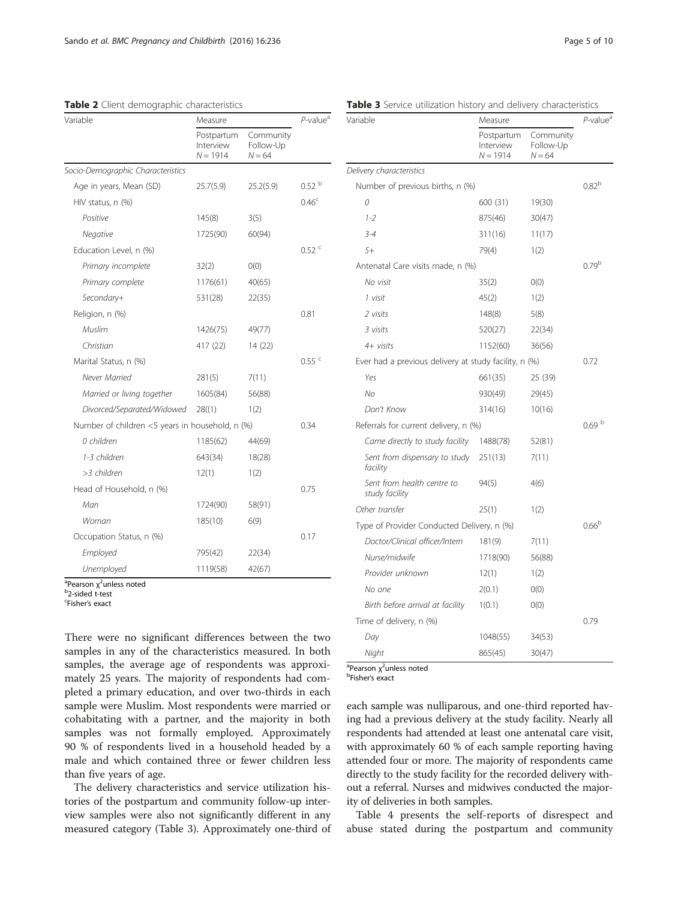| Variable                                        | Measure                               |                                    | P-value <sup>a</sup> |  |
|-------------------------------------------------|---------------------------------------|------------------------------------|----------------------|--|
|                                                 | Postpartum<br>Interview<br>$N = 1914$ | Community<br>Follow-Up<br>$N = 64$ |                      |  |
| Socio-Demographic Characteristics               |                                       |                                    |                      |  |
| Age in years, Mean (SD)                         | 25.7(5.9)                             | 25.2(5.9)                          | 0.52 <sup>b</sup>    |  |
| HIV status, n (%)                               |                                       |                                    | 0.46 <sup>c</sup>    |  |
| Positive                                        | 145(8)                                | 3(5)                               |                      |  |
| Negative                                        | 1725(90)                              | 60(94)                             |                      |  |
| Education Level, n (%)                          |                                       |                                    | $0.52$ <sup>c</sup>  |  |
| Primary incomplete                              | 32(2)                                 | O(0)                               |                      |  |
| Primary complete                                | 1176(61)                              | 40(65)                             |                      |  |
| Secondary+                                      | 531(28)                               | 22(35)                             |                      |  |
| Religion, n (%)                                 |                                       |                                    | 0.81                 |  |
| Muslim                                          | 1426(75)                              | 49(77)                             |                      |  |
| Christian                                       | 417 (22)                              | 14 (22)                            |                      |  |
| Marital Status, n (%)                           |                                       |                                    | $0.55$ <sup>c</sup>  |  |
| Never Married                                   | 281(5)                                | 7(11)                              |                      |  |
| Married or living together                      | 1605(84)                              | 56(88)                             |                      |  |
| Divorced/Separated/Widowed                      | 28(1)                                 | 1(2)                               |                      |  |
| Number of children <5 years in household, n (%) |                                       |                                    | 0.34                 |  |
| 0 children                                      | 1185(62)                              | 44(69)                             |                      |  |
| 1-3 children                                    | 643(34)                               | 18(28)                             |                      |  |
| >3 children                                     | 12(1)                                 | 1(2)                               |                      |  |
| Head of Household, n (%)                        |                                       |                                    | 0.75                 |  |
| Man                                             | 1724(90)                              | 58(91)                             |                      |  |
| Woman                                           | 185(10)                               | 6(9)                               |                      |  |
| Occupation Status, n (%)                        |                                       |                                    | 0.17                 |  |
| Employed                                        | 795(42)                               | 22(34)                             |                      |  |
| Unemployed                                      | 1119(58)                              | 42(67)                             |                      |  |

<span id="page-4-0"></span>

| Table 2 Client demographic characteristics |  |  |  |
|--------------------------------------------|--|--|--|
|--------------------------------------------|--|--|--|

<sup>a</sup>Pearson χ<sup>2</sup>unless noted<br><sup>b</sup>2 sided t test

2-sided t-test

<sup>c</sup>Fisher's exact

There were no significant differences between the two samples in any of the characteristics measured. In both samples, the average age of respondents was approximately 25 years. The majority of respondents had completed a primary education, and over two-thirds in each sample were Muslim. Most respondents were married or cohabitating with a partner, and the majority in both samples was not formally employed. Approximately 90 % of respondents lived in a household headed by a male and which contained three or fewer children less than five years of age.

The delivery characteristics and service utilization histories of the postpartum and community follow-up interview samples were also not significantly different in any measured category (Table 3). Approximately one-third of

| Variable                                              | Measure                               |                                    | P-value <sup>a</sup> |
|-------------------------------------------------------|---------------------------------------|------------------------------------|----------------------|
|                                                       | Postpartum<br>Interview<br>$N = 1914$ | Community<br>Follow-Up<br>$N = 64$ |                      |
| Delivery characteristics                              |                                       |                                    |                      |
| Number of previous births, n (%)                      |                                       |                                    | $0.82^{b}$           |
| 0                                                     | 600 (31)                              | 19(30)                             |                      |
| $1 - 2$                                               | 875(46)                               | 30(47)                             |                      |
| $3 - 4$                                               | 311(16)                               | 11(17)                             |                      |
| $5+$                                                  | 79(4)                                 | 1(2)                               |                      |
| Antenatal Care visits made, n (%)                     |                                       |                                    | $0.79^{\rm b}$       |
| No visit                                              | 35(2)                                 | O(0)                               |                      |
| 1 visit                                               | 45(2)                                 | 1(2)                               |                      |
| 2 visits                                              | 148(8)                                | 5(8)                               |                      |
| 3 visits                                              | 520(27)                               | 22(34)                             |                      |
| $4+$ visits                                           | 1152(60)                              | 36(56)                             |                      |
| Ever had a previous delivery at study facility, n (%) |                                       |                                    | 0.72                 |
| Yes                                                   | 661(35)                               | 25 (39)                            |                      |
| No                                                    | 930(49)                               | 29(45)                             |                      |
| Don't Know                                            | 314(16)                               | 10(16)                             |                      |
| Referrals for current delivery, n (%)                 |                                       |                                    | 0.69h                |
| Came directly to study facility                       | 1488(78)                              | 52(81)                             |                      |
| Sent from dispensary to study<br>facility             | 251(13)                               | 7(11)                              |                      |
| Sent from health centre to<br>study facility          | 94(5)                                 | 4(6)                               |                      |
| Other transfer                                        | 25(1)                                 | 1(2)                               |                      |
| Type of Provider Conducted Delivery, n (%)            |                                       |                                    | 0.66 <sup>b</sup>    |
| Doctor/Clinical officer/Intern                        | 181(9)                                | 7(11)                              |                      |
| Nurse/midwife                                         | 1718(90)                              | 56(88)                             |                      |
| Provider unknown                                      | 12(1)                                 | 1(2)                               |                      |
| No one                                                | 2(0.1)                                | O(0)                               |                      |
| Birth before arrival at facility                      | 1(0.1)                                | O(0)                               |                      |
| Time of delivery, n (%)                               |                                       |                                    | 0.79                 |
| Day                                                   | 1048(55)                              | 34(53)                             |                      |
| Night                                                 | 865(45)                               | 30(47)                             |                      |

Table 3 Service utilization history and delivery characteristics

<sup>a</sup>Pearson  $\chi^2$ unless noted<br><sup>b</sup>Eisber's exact

**b**Fisher's exact

each sample was nulliparous, and one-third reported having had a previous delivery at the study facility. Nearly all respondents had attended at least one antenatal care visit, with approximately 60 % of each sample reporting having attended four or more. The majority of respondents came directly to the study facility for the recorded delivery without a referral. Nurses and midwives conducted the majority of deliveries in both samples.

Table [4](#page-5-0) presents the self-reports of disrespect and abuse stated during the postpartum and community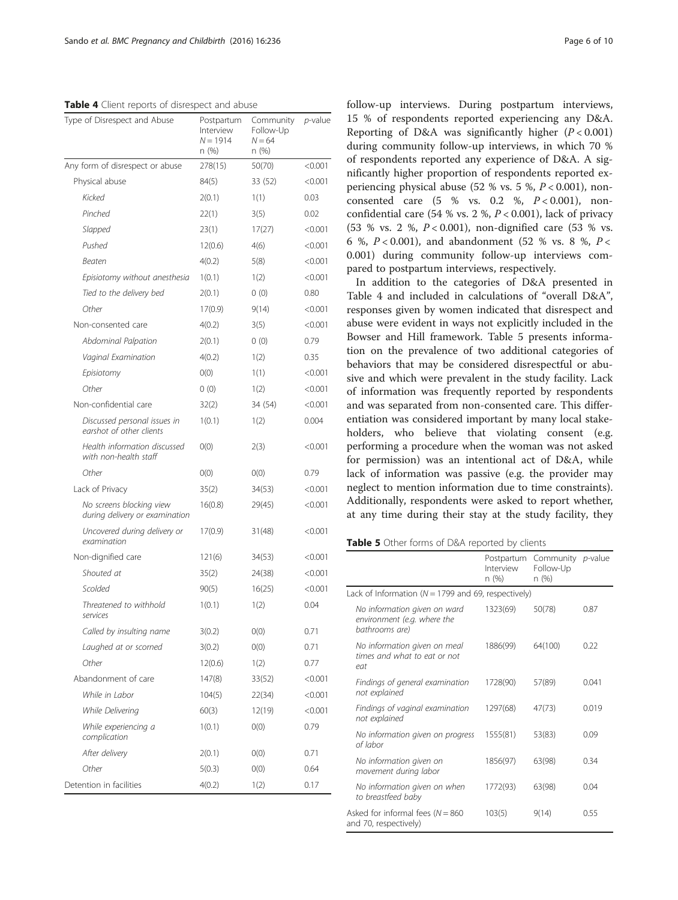<span id="page-5-0"></span>Table 4 Client reports of disrespect and abuse

| Type of Disrespect and Abuse                               | Postpartum<br>Interview<br>$N = 1914$<br>n (%) | Community<br>Follow-Up<br>$N = 64$<br>n (%) | <i>p</i> -value |
|------------------------------------------------------------|------------------------------------------------|---------------------------------------------|-----------------|
| Any form of disrespect or abuse                            | 278(15)                                        | 50(70)                                      | < 0.001         |
| Physical abuse                                             | 84(5)                                          | 33 (52)                                     | < 0.001         |
| Kicked                                                     | 2(0.1)                                         | 1(1)                                        | 0.03            |
| Pinched                                                    | 22(1)                                          | 3(5)                                        | 0.02            |
| Slapped                                                    | 23(1)                                          | 17(27)                                      | < 0.001         |
| Pushed                                                     | 12(0.6)                                        | 4(6)                                        | < 0.001         |
| Beaten                                                     | 4(0.2)                                         | 5(8)                                        | < 0.001         |
| Episiotomy without anesthesia                              | 1(0.1)                                         | 1(2)                                        | < 0.001         |
| Tied to the delivery bed                                   | 2(0.1)                                         | 0(0)                                        | 0.80            |
| Other                                                      | 17(0.9)                                        | 9(14)                                       | < 0.001         |
| Non-consented care                                         | 4(0.2)                                         | 3(5)                                        | < 0.001         |
| Abdominal Palpation                                        | 2(0.1)                                         | 0(0)                                        | 0.79            |
| Vaginal Examination                                        | 4(0.2)                                         | 1(2)                                        | 0.35            |
| Episiotomy                                                 | O(0)                                           | 1(1)                                        | < 0.001         |
| Other                                                      | 0(0)                                           | 1(2)                                        | < 0.001         |
| Non-confidential care                                      | 32(2)                                          | 34 (54)                                     | < 0.001         |
| Discussed personal issues in<br>earshot of other clients   | 1(0.1)                                         | 1(2)                                        | 0.004           |
| Health information discussed<br>with non-health staff      | O(0)                                           | 2(3)                                        | < 0.001         |
| Other                                                      | O(0)                                           | O(0)                                        | 0.79            |
| Lack of Privacy                                            | 35(2)                                          | 34(53)                                      | < 0.001         |
| No screens blocking view<br>during delivery or examination | 16(0.8)                                        | 29(45)                                      | < 0.001         |
| Uncovered during delivery or<br>examination                | 17(0.9)                                        | 31(48)                                      | < 0.001         |
| Non-dignified care                                         | 121(6)                                         | 34(53)                                      | < 0.001         |
| Shouted at                                                 | 35(2)                                          | 24(38)                                      | < 0.001         |
| Scolded                                                    | 90(5)                                          | 16(25)                                      | < 0.001         |
| Threatened to withhold<br>services                         | 1(0.1)                                         | 1(2)                                        | 0.04            |
| Called by insulting name                                   | 3(0.2)                                         | O(0)                                        | 0.71            |
| Laughed at or scorned                                      | 3(0.2)                                         | O(0)                                        | 0.71            |
| Other                                                      | 12(0.6)                                        | 1(2)                                        | 0.77            |
| Abandonment of care                                        | 147(8)                                         | 33(52)                                      | < 0.001         |
| While in Labor                                             | 104(5)                                         | 22(34)                                      | < 0.001         |
| While Delivering                                           | 60(3)                                          | 12(19)                                      | < 0.001         |
| While experiencing a<br>complication                       | 1(0.1)                                         | O(0)                                        | 0.79            |
| After delivery                                             | 2(0.1)                                         | O(0)                                        | 0.71            |
| Other                                                      | 5(0.3)                                         | O(0)                                        | 0.64            |
| Detention in facilities                                    | 4(0.2)                                         | 1(2)                                        | 0.17            |

follow-up interviews. During postpartum interviews, 15 % of respondents reported experiencing any D&A. Reporting of D&A was significantly higher  $(P < 0.001)$ during community follow-up interviews, in which 70 % of respondents reported any experience of D&A. A significantly higher proportion of respondents reported experiencing physical abuse (52 % vs. 5 %,  $P < 0.001$ ), nonconsented care  $(5 \% \text{ vs. } 0.2 \% \text{ P} < 0.001)$ , nonconfidential care (54 % vs. 2 %,  $P < 0.001$ ), lack of privacy (53 % vs. 2 %, P < 0.001), non-dignified care (53 % vs. 6 %,  $P < 0.001$ ), and abandonment (52 % vs. 8 %,  $P <$ 0.001) during community follow-up interviews compared to postpartum interviews, respectively.

In addition to the categories of D&A presented in Table 4 and included in calculations of "overall D&A", responses given by women indicated that disrespect and abuse were evident in ways not explicitly included in the Bowser and Hill framework. Table 5 presents information on the prevalence of two additional categories of behaviors that may be considered disrespectful or abusive and which were prevalent in the study facility. Lack of information was frequently reported by respondents and was separated from non-consented care. This differentiation was considered important by many local stakeholders, who believe that violating consent (e.g. performing a procedure when the woman was not asked for permission) was an intentional act of D&A, while lack of information was passive (e.g. the provider may neglect to mention information due to time constraints). Additionally, respondents were asked to report whether, at any time during their stay at the study facility, they

| Table 5 Other forms of D&A reported by clients |
|------------------------------------------------|
|------------------------------------------------|

|                                                                               | Postpartum<br>Interview<br>n (%) | Community p-value<br>Follow-Up<br>n (%) |       |
|-------------------------------------------------------------------------------|----------------------------------|-----------------------------------------|-------|
| Lack of Information ( $N = 1799$ and 69, respectively)                        |                                  |                                         |       |
| No information given on ward<br>environment (e.g. where the<br>bathrooms are) | 1323(69)                         | 50(78)                                  | 0.87  |
| No information given on meal<br>times and what to eat or not<br>eat           | 1886(99)                         | 64(100)                                 | 0.22  |
| Findings of general examination<br>not explained                              | 1728(90)                         | 57(89)                                  | 0.041 |
| Findings of vaginal examination<br>not explained                              | 1297(68)                         | 47(73)                                  | 0.019 |
| No information given on progress<br>of labor                                  | 1555(81)                         | 53(83)                                  | 0.09  |
| No information given on<br>movement during labor                              | 1856(97)                         | 63(98)                                  | 0.34  |
| No information given on when<br>to breastfeed baby                            | 1772(93)                         | 63(98)                                  | 0.04  |
| Asked for informal fees ( $N = 860$<br>and 70, respectively)                  | 103(5)                           | 9(14)                                   | 0.55  |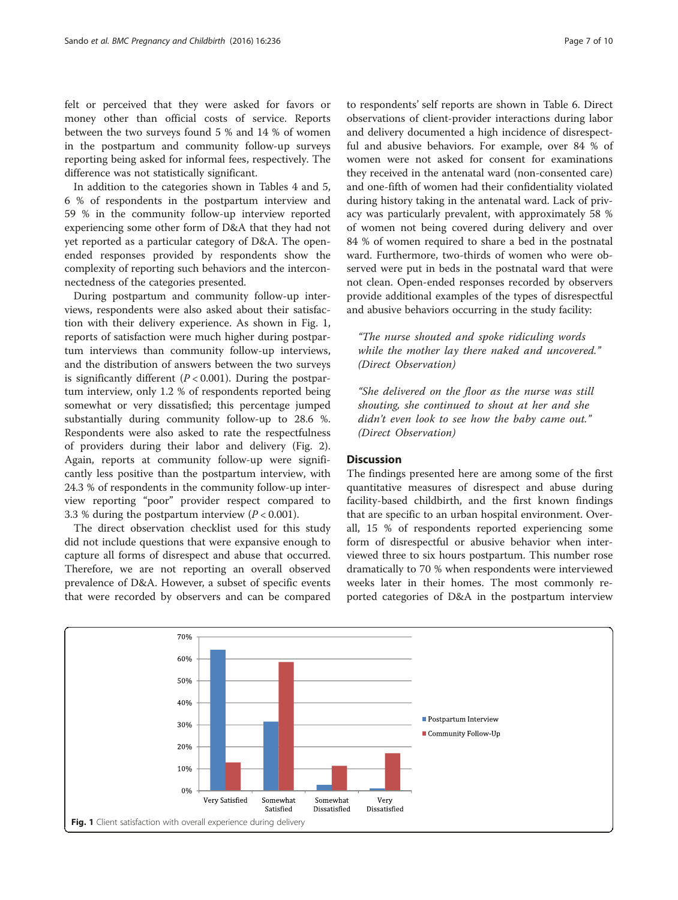felt or perceived that they were asked for favors or money other than official costs of service. Reports between the two surveys found 5 % and 14 % of women in the postpartum and community follow-up surveys reporting being asked for informal fees, respectively. The difference was not statistically significant.

In addition to the categories shown in Tables [4](#page-5-0) and [5](#page-5-0), 6 % of respondents in the postpartum interview and 59 % in the community follow-up interview reported experiencing some other form of D&A that they had not yet reported as a particular category of D&A. The openended responses provided by respondents show the complexity of reporting such behaviors and the interconnectedness of the categories presented.

During postpartum and community follow-up interviews, respondents were also asked about their satisfaction with their delivery experience. As shown in Fig. 1, reports of satisfaction were much higher during postpartum interviews than community follow-up interviews, and the distribution of answers between the two surveys is significantly different  $(P < 0.001)$ . During the postpartum interview, only 1.2 % of respondents reported being somewhat or very dissatisfied; this percentage jumped substantially during community follow-up to 28.6 %. Respondents were also asked to rate the respectfulness of providers during their labor and delivery (Fig. [2](#page-7-0)). Again, reports at community follow-up were significantly less positive than the postpartum interview, with 24.3 % of respondents in the community follow-up interview reporting "poor" provider respect compared to 3.3 % during the postpartum interview  $(P < 0.001)$ .

The direct observation checklist used for this study did not include questions that were expansive enough to capture all forms of disrespect and abuse that occurred. Therefore, we are not reporting an overall observed prevalence of D&A. However, a subset of specific events that were recorded by observers and can be compared to respondents' self reports are shown in Table [6.](#page-7-0) Direct observations of client-provider interactions during labor and delivery documented a high incidence of disrespectful and abusive behaviors. For example, over 84 % of women were not asked for consent for examinations they received in the antenatal ward (non-consented care) and one-fifth of women had their confidentiality violated during history taking in the antenatal ward. Lack of privacy was particularly prevalent, with approximately 58 % of women not being covered during delivery and over 84 % of women required to share a bed in the postnatal ward. Furthermore, two-thirds of women who were observed were put in beds in the postnatal ward that were not clean. Open-ended responses recorded by observers provide additional examples of the types of disrespectful and abusive behaviors occurring in the study facility:

"The nurse shouted and spoke ridiculing words while the mother lay there naked and uncovered." (Direct Observation)

"She delivered on the floor as the nurse was still shouting, she continued to shout at her and she didn't even look to see how the baby came out." (Direct Observation)

## **Discussion**

The findings presented here are among some of the first quantitative measures of disrespect and abuse during facility-based childbirth, and the first known findings that are specific to an urban hospital environment. Overall, 15 % of respondents reported experiencing some form of disrespectful or abusive behavior when interviewed three to six hours postpartum. This number rose dramatically to 70 % when respondents were interviewed weeks later in their homes. The most commonly reported categories of D&A in the postpartum interview

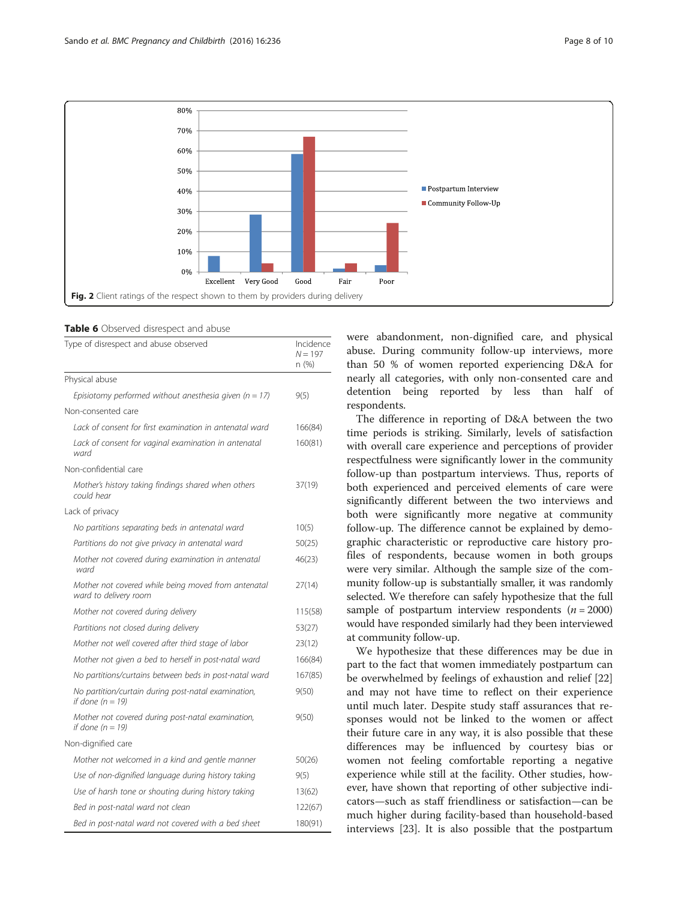<span id="page-7-0"></span>

Table 6 Observed disrespect and abuse

| Type of disrespect and abuse observed                                        | Incidence<br>$N = 197$<br>n (%) |
|------------------------------------------------------------------------------|---------------------------------|
| Physical abuse                                                               |                                 |
| Episiotomy performed without anesthesia given ( $n = 17$ )                   | 9(5)                            |
| Non-consented care                                                           |                                 |
| Lack of consent for first examination in antenatal ward                      | 166(84)                         |
| Lack of consent for vaginal examination in antenatal<br>ward                 | 160(81)                         |
| Non-confidential care                                                        |                                 |
| Mother's history taking findings shared when others<br>could hear            | 37(19)                          |
| Lack of privacy                                                              |                                 |
| No partitions separating beds in antenatal ward                              | 10(5)                           |
| Partitions do not give privacy in antenatal ward                             | 50(25)                          |
| Mother not covered during examination in antenatal<br>ward                   | 46(23)                          |
| Mother not covered while being moved from antenatal<br>ward to delivery room | 27(14)                          |
| Mother not covered during delivery                                           | 115(58)                         |
| Partitions not closed during delivery                                        | 53(27)                          |
| Mother not well covered after third stage of labor                           | 23(12)                          |
| Mother not given a bed to herself in post-natal ward                         | 166(84)                         |
| No partitions/curtains between beds in post-natal ward                       | 167(85)                         |
| No partition/curtain during post-natal examination,<br>if done $(n = 19)$    | 9(50)                           |
| Mother not covered during post-natal examination,<br>if done ( $n = 19$ )    | 9(50)                           |
| Non-dignified care                                                           |                                 |
| Mother not welcomed in a kind and gentle manner                              | 50(26)                          |
| Use of non-dignified language during history taking                          | 9(5)                            |
| Use of harsh tone or shouting during history taking                          | 13(62)                          |
| Bed in post-natal ward not clean                                             | 122(67)                         |
| Bed in post-natal ward not covered with a bed sheet                          | 180(91)                         |

were abandonment, non-dignified care, and physical abuse. During community follow-up interviews, more than 50 % of women reported experiencing D&A for nearly all categories, with only non-consented care and detention being reported by less than half of respondents.

The difference in reporting of D&A between the two time periods is striking. Similarly, levels of satisfaction with overall care experience and perceptions of provider respectfulness were significantly lower in the community follow-up than postpartum interviews. Thus, reports of both experienced and perceived elements of care were significantly different between the two interviews and both were significantly more negative at community follow-up. The difference cannot be explained by demographic characteristic or reproductive care history profiles of respondents, because women in both groups were very similar. Although the sample size of the community follow-up is substantially smaller, it was randomly selected. We therefore can safely hypothesize that the full sample of postpartum interview respondents  $(n = 2000)$ would have responded similarly had they been interviewed at community follow-up.

We hypothesize that these differences may be due in part to the fact that women immediately postpartum can be overwhelmed by feelings of exhaustion and relief [[22](#page-9-0)] and may not have time to reflect on their experience until much later. Despite study staff assurances that responses would not be linked to the women or affect their future care in any way, it is also possible that these differences may be influenced by courtesy bias or women not feeling comfortable reporting a negative experience while still at the facility. Other studies, however, have shown that reporting of other subjective indicators—such as staff friendliness or satisfaction—can be much higher during facility-based than household-based interviews [\[23\]](#page-9-0). It is also possible that the postpartum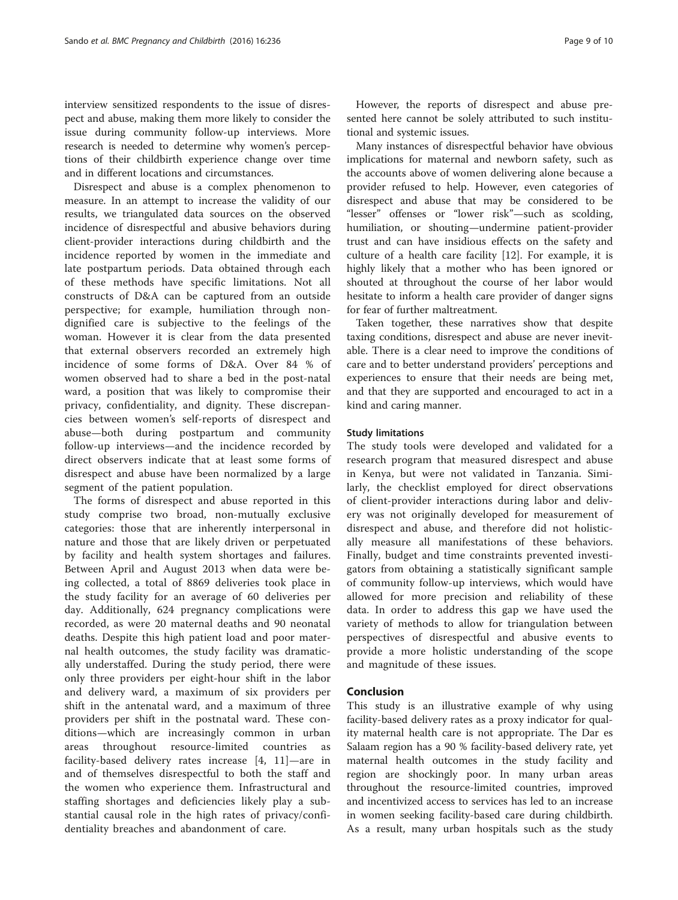interview sensitized respondents to the issue of disrespect and abuse, making them more likely to consider the issue during community follow-up interviews. More research is needed to determine why women's perceptions of their childbirth experience change over time and in different locations and circumstances.

Disrespect and abuse is a complex phenomenon to measure. In an attempt to increase the validity of our results, we triangulated data sources on the observed incidence of disrespectful and abusive behaviors during client-provider interactions during childbirth and the incidence reported by women in the immediate and late postpartum periods. Data obtained through each of these methods have specific limitations. Not all constructs of D&A can be captured from an outside perspective; for example, humiliation through nondignified care is subjective to the feelings of the woman. However it is clear from the data presented that external observers recorded an extremely high incidence of some forms of D&A. Over 84 % of women observed had to share a bed in the post-natal ward, a position that was likely to compromise their privacy, confidentiality, and dignity. These discrepancies between women's self-reports of disrespect and abuse—both during postpartum and community follow-up interviews—and the incidence recorded by direct observers indicate that at least some forms of disrespect and abuse have been normalized by a large segment of the patient population.

The forms of disrespect and abuse reported in this study comprise two broad, non-mutually exclusive categories: those that are inherently interpersonal in nature and those that are likely driven or perpetuated by facility and health system shortages and failures. Between April and August 2013 when data were being collected, a total of 8869 deliveries took place in the study facility for an average of 60 deliveries per day. Additionally, 624 pregnancy complications were recorded, as were 20 maternal deaths and 90 neonatal deaths. Despite this high patient load and poor maternal health outcomes, the study facility was dramatically understaffed. During the study period, there were only three providers per eight-hour shift in the labor and delivery ward, a maximum of six providers per shift in the antenatal ward, and a maximum of three providers per shift in the postnatal ward. These conditions—which are increasingly common in urban areas throughout resource-limited countries as facility-based delivery rates increase [[4, 11\]](#page-9-0)—are in and of themselves disrespectful to both the staff and the women who experience them. Infrastructural and staffing shortages and deficiencies likely play a substantial causal role in the high rates of privacy/confidentiality breaches and abandonment of care.

However, the reports of disrespect and abuse presented here cannot be solely attributed to such institutional and systemic issues.

Many instances of disrespectful behavior have obvious implications for maternal and newborn safety, such as the accounts above of women delivering alone because a provider refused to help. However, even categories of disrespect and abuse that may be considered to be "lesser" offenses or "lower risk"—such as scolding, humiliation, or shouting—undermine patient-provider trust and can have insidious effects on the safety and culture of a health care facility [[12\]](#page-9-0). For example, it is highly likely that a mother who has been ignored or shouted at throughout the course of her labor would hesitate to inform a health care provider of danger signs for fear of further maltreatment.

Taken together, these narratives show that despite taxing conditions, disrespect and abuse are never inevitable. There is a clear need to improve the conditions of care and to better understand providers' perceptions and experiences to ensure that their needs are being met, and that they are supported and encouraged to act in a kind and caring manner.

### Study limitations

The study tools were developed and validated for a research program that measured disrespect and abuse in Kenya, but were not validated in Tanzania. Similarly, the checklist employed for direct observations of client-provider interactions during labor and delivery was not originally developed for measurement of disrespect and abuse, and therefore did not holistically measure all manifestations of these behaviors. Finally, budget and time constraints prevented investigators from obtaining a statistically significant sample of community follow-up interviews, which would have allowed for more precision and reliability of these data. In order to address this gap we have used the variety of methods to allow for triangulation between perspectives of disrespectful and abusive events to provide a more holistic understanding of the scope and magnitude of these issues.

## Conclusion

This study is an illustrative example of why using facility-based delivery rates as a proxy indicator for quality maternal health care is not appropriate. The Dar es Salaam region has a 90 % facility-based delivery rate, yet maternal health outcomes in the study facility and region are shockingly poor. In many urban areas throughout the resource-limited countries, improved and incentivized access to services has led to an increase in women seeking facility-based care during childbirth. As a result, many urban hospitals such as the study